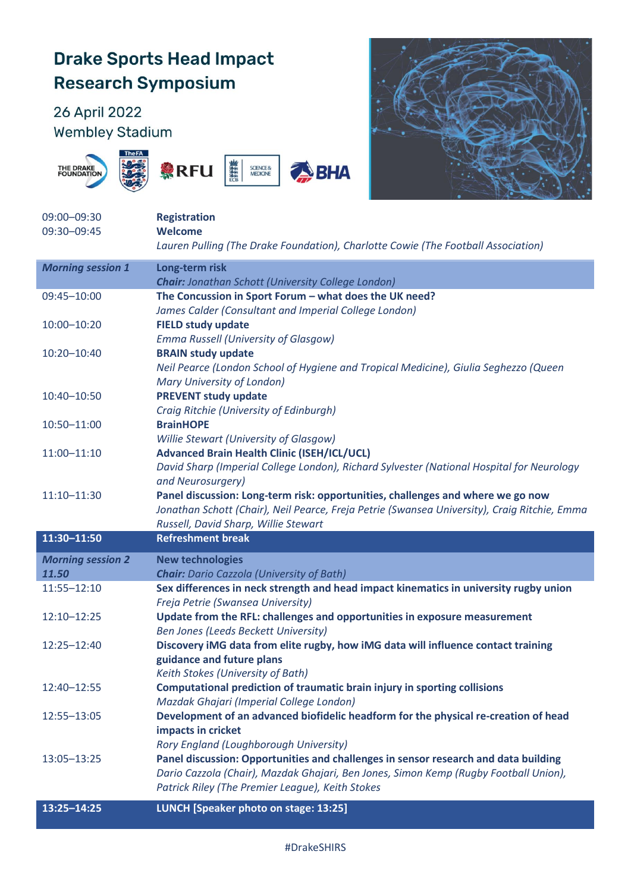## **Drake Sports Head Impact Research Symposium**

## 26 April 2022 **Wembley Stadium**









| 09:00-09:30              | <b>Registration</b>                                                                          |
|--------------------------|----------------------------------------------------------------------------------------------|
| 09:30-09:45              | <b>Welcome</b>                                                                               |
|                          | Lauren Pulling (The Drake Foundation), Charlotte Cowie (The Football Association)            |
| <b>Morning session 1</b> | Long-term risk                                                                               |
|                          | <b>Chair:</b> Jonathan Schott (University College London)                                    |
| 09:45-10:00              | The Concussion in Sport Forum - what does the UK need?                                       |
|                          | James Calder (Consultant and Imperial College London)                                        |
| 10:00-10:20              | <b>FIELD study update</b>                                                                    |
|                          | <b>Emma Russell (University of Glasgow)</b>                                                  |
| 10:20-10:40              | <b>BRAIN study update</b>                                                                    |
|                          | Neil Pearce (London School of Hygiene and Tropical Medicine), Giulia Seghezzo (Queen         |
|                          | Mary University of London)                                                                   |
| 10:40-10:50              | <b>PREVENT study update</b>                                                                  |
|                          | Craig Ritchie (University of Edinburgh)                                                      |
| 10:50-11:00              | <b>BrainHOPE</b>                                                                             |
|                          | Willie Stewart (University of Glasgow)                                                       |
| $11:00 - 11:10$          | <b>Advanced Brain Health Clinic (ISEH/ICL/UCL)</b>                                           |
|                          | David Sharp (Imperial College London), Richard Sylvester (National Hospital for Neurology    |
|                          | and Neurosurgery)                                                                            |
| 11:10-11:30              | Panel discussion: Long-term risk: opportunities, challenges and where we go now              |
|                          | Jonathan Schott (Chair), Neil Pearce, Freja Petrie (Swansea University), Craig Ritchie, Emma |
|                          |                                                                                              |
|                          | Russell, David Sharp, Willie Stewart                                                         |
| 11:30-11:50              | <b>Refreshment break</b>                                                                     |
| <b>Morning session 2</b> | <b>New technologies</b>                                                                      |
| 11.50                    | <b>Chair:</b> Dario Cazzola (University of Bath)                                             |
| 11:55-12:10              | Sex differences in neck strength and head impact kinematics in university rugby union        |
|                          | Freja Petrie (Swansea University)                                                            |
| 12:10-12:25              | Update from the RFL: challenges and opportunities in exposure measurement                    |
|                          | Ben Jones (Leeds Beckett University)                                                         |
| 12:25-12:40              | Discovery iMG data from elite rugby, how iMG data will influence contact training            |
|                          | guidance and future plans                                                                    |
|                          | Keith Stokes (University of Bath)                                                            |
| 12:40-12:55              | Computational prediction of traumatic brain injury in sporting collisions                    |
|                          | Mazdak Ghajari (Imperial College London)                                                     |
| 12:55-13:05              | Development of an advanced biofidelic headform for the physical re-creation of head          |
|                          | impacts in cricket                                                                           |
|                          | Rory England (Loughborough University)                                                       |
| 13:05-13:25              | Panel discussion: Opportunities and challenges in sensor research and data building          |
|                          | Dario Cazzola (Chair), Mazdak Ghajari, Ben Jones, Simon Kemp (Rugby Football Union),         |
|                          | Patrick Riley (The Premier League), Keith Stokes                                             |